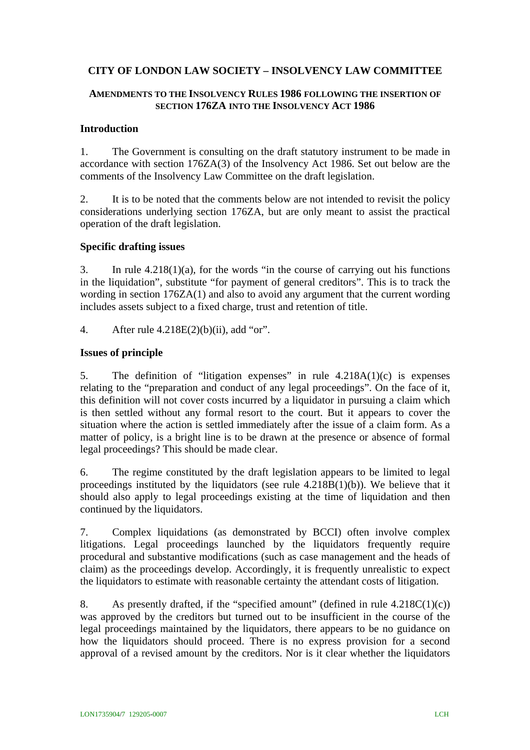# **CITY OF LONDON LAW SOCIETY – INSOLVENCY LAW COMMITTEE**

## **AMENDMENTS TO THE INSOLVENCY RULES 1986 FOLLOWING THE INSERTION OF SECTION 176ZA INTO THE INSOLVENCY ACT 1986**

## **Introduction**

1. The Government is consulting on the draft statutory instrument to be made in accordance with section 176ZA(3) of the Insolvency Act 1986. Set out below are the comments of the Insolvency Law Committee on the draft legislation.

2. It is to be noted that the comments below are not intended to revisit the policy considerations underlying section 176ZA, but are only meant to assist the practical operation of the draft legislation.

### **Specific drafting issues**

3. In rule 4.218(1)(a), for the words "in the course of carrying out his functions in the liquidation", substitute "for payment of general creditors". This is to track the wording in section 176ZA(1) and also to avoid any argument that the current wording includes assets subject to a fixed charge, trust and retention of title.

4. After rule 4.218E(2)(b)(ii), add "or".

### **Issues of principle**

5. The definition of "litigation expenses" in rule 4.218A(1)(c) is expenses relating to the "preparation and conduct of any legal proceedings". On the face of it, this definition will not cover costs incurred by a liquidator in pursuing a claim which is then settled without any formal resort to the court. But it appears to cover the situation where the action is settled immediately after the issue of a claim form. As a matter of policy, is a bright line is to be drawn at the presence or absence of formal legal proceedings? This should be made clear.

6. The regime constituted by the draft legislation appears to be limited to legal proceedings instituted by the liquidators (see rule 4.218B(1)(b)). We believe that it should also apply to legal proceedings existing at the time of liquidation and then continued by the liquidators.

7. Complex liquidations (as demonstrated by BCCI) often involve complex litigations. Legal proceedings launched by the liquidators frequently require procedural and substantive modifications (such as case management and the heads of claim) as the proceedings develop. Accordingly, it is frequently unrealistic to expect the liquidators to estimate with reasonable certainty the attendant costs of litigation.

8. As presently drafted, if the "specified amount" (defined in rule  $4.218C(1)(c)$ ) was approved by the creditors but turned out to be insufficient in the course of the legal proceedings maintained by the liquidators, there appears to be no guidance on how the liquidators should proceed. There is no express provision for a second approval of a revised amount by the creditors. Nor is it clear whether the liquidators